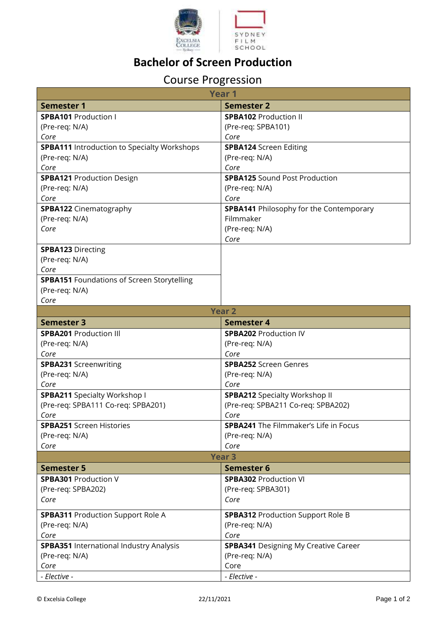

## **Bachelor of Screen Production**

## Course Progression

| <b>Year 1</b>                                      |                                                |
|----------------------------------------------------|------------------------------------------------|
| <b>Semester 1</b>                                  | <b>Semester 2</b>                              |
| <b>SPBA101</b> Production I                        | <b>SPBA102 Production II</b>                   |
| (Pre-req: N/A)                                     | (Pre-req: SPBA101)                             |
| Core                                               | Core                                           |
| <b>SPBA111</b> Introduction to Specialty Workshops | <b>SPBA124</b> Screen Editing                  |
| (Pre-req: N/A)                                     | (Pre-req: N/A)                                 |
| Core                                               | Core                                           |
| <b>SPBA121 Production Design</b>                   | <b>SPBA125 Sound Post Production</b>           |
| (Pre-req: N/A)                                     | (Pre-req: N/A)                                 |
| Core                                               | Core                                           |
| <b>SPBA122</b> Cinematography                      | <b>SPBA141</b> Philosophy for the Contemporary |
| (Pre-req: N/A)                                     | Filmmaker                                      |
| Core                                               | (Pre-req: N/A)                                 |
|                                                    | Core                                           |
| <b>SPBA123 Directing</b>                           |                                                |
| (Pre-req: N/A)                                     |                                                |
| Core                                               |                                                |
| <b>SPBA151 Foundations of Screen Storytelling</b>  |                                                |
| (Pre-req: N/A)                                     |                                                |
| Core                                               |                                                |
| <b>Year 2</b>                                      |                                                |
| <b>Semester 3</b>                                  | Semester 4                                     |
| <b>SPBA201</b> Production III                      | <b>SPBA202 Production IV</b>                   |
| (Pre-req: N/A)                                     | (Pre-req: N/A)                                 |
| Core                                               | Core                                           |
| <b>SPBA231 Screenwriting</b>                       | <b>SPBA252</b> Screen Genres                   |
| (Pre-req: N/A)                                     | (Pre-req: N/A)                                 |
| Core                                               | Core                                           |
| <b>SPBA211</b> Specialty Workshop I                | <b>SPBA212 Specialty Workshop II</b>           |
| (Pre-req: SPBA111 Co-req: SPBA201)                 | (Pre-req: SPBA211 Co-req: SPBA202)             |
| Core                                               | Core                                           |
| <b>SPBA251</b> Screen Histories                    | <b>SPBA241</b> The Filmmaker's Life in Focus   |
| (Pre-req: N/A)                                     | (Pre-req: N/A)                                 |
| Core                                               | Core                                           |
|                                                    | <b>Year 3</b>                                  |
| <b>Semester 5</b>                                  | <b>Semester 6</b>                              |
| <b>SPBA301 Production V</b>                        | <b>SPBA302 Production VI</b>                   |
| (Pre-req: SPBA202)                                 | (Pre-req: SPBA301)                             |
| Core                                               | Core                                           |
|                                                    |                                                |
| <b>SPBA311</b> Production Support Role A           | <b>SPBA312 Production Support Role B</b>       |
| (Pre-req: N/A)                                     | (Pre-req: N/A)                                 |
| Core                                               | Core                                           |
| SPBA351 International Industry Analysis            | <b>SPBA341</b> Designing My Creative Career    |
| (Pre-req: N/A)                                     | (Pre-req: N/A)                                 |
| Core                                               | Core                                           |
| - Elective -                                       | - Elective -                                   |